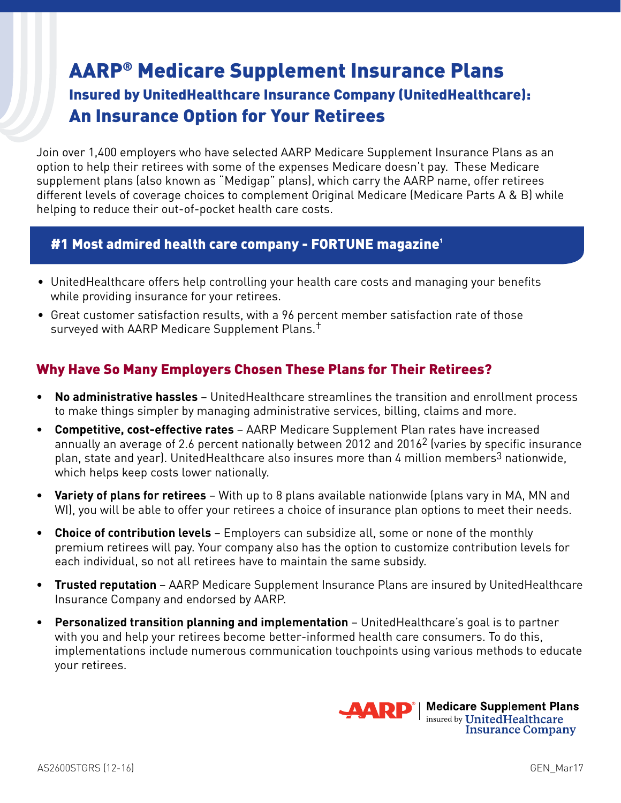# AARP® Medicare Supplement Insurance Plans

## Insured by UnitedHealthcare Insurance Company (UnitedHealthcare): An Insurance Option for Your Retirees

Join over 1,400 employers who have selected AARP Medicare Supplement Insurance Plans as an option to help their retirees with some of the expenses Medicare doesn't pay. These Medicare supplement plans (also known as "Medigap" plans), which carry the AARP name, offer retirees different levels of coverage choices to complement Original Medicare (Medicare Parts A & B) while helping to reduce their out-of-pocket health care costs.

## #1 Most admired health care company - FORTUNE magazine**¹**

- UnitedHealthcare offers help controlling your health care costs and managing your benefits while providing insurance for your retirees.
- Great customer satisfaction results, with a 96 percent member satisfaction rate of those surveyed with AARP Medicare Supplement Plans.†

## Why Have So Many Employers Chosen These Plans for Their Retirees?

- **• No administrative hassles** UnitedHealthcare streamlines the transition and enrollment process to make things simpler by managing administrative services, billing, claims and more.
- **• Competitive, cost-effective rates** AARP Medicare Supplement Plan rates have increased annually an average of 2.6 percent nationally between 2012 and 20162 (varies by specific insurance plan, state and year). UnitedHealthcare also insures more than 4 million members<sup>3</sup> nationwide, which helps keep costs lower nationally.
- **• Variety of plans for retirees** With up to 8 plans available nationwide (plans vary in MA, MN and WI), you will be able to offer your retirees a choice of insurance plan options to meet their needs.
- **• Choice of contribution levels** Employers can subsidize all, some or none of the monthly premium retirees will pay. Your company also has the option to customize contribution levels for each individual, so not all retirees have to maintain the same subsidy.
- **• Trusted reputation** AARP Medicare Supplement Insurance Plans are insured by UnitedHealthcare Insurance Company and endorsed by AARP.
- **• Personalized transition planning and implementation** UnitedHealthcare's goal is to partner with you and help your retirees become better-informed health care consumers. To do this, implementations include numerous communication touchpoints using various methods to educate your retirees.

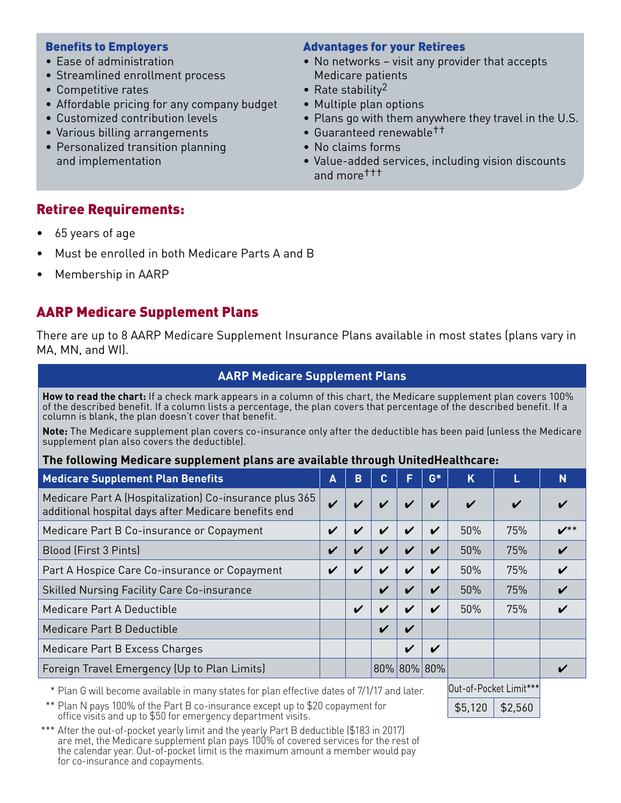#### Benefits to Employers

- Ease of administration
- Streamlined enrollment process
- Competitive rates
- Affordable pricing for any company budget
- Customized contribution levels
- Various billing arrangements
- Personalized transition planning and implementation

#### Advantages for your Retirees

- No networks visit any provider that accepts Medicare patients
- Rate stability<sup>2</sup>
- Multiple plan options
- Plans go with them anywhere they travel in the U.S.
- Guaranteed renewable††
- No claims forms
- Value-added services, including vision discounts and more†††

## Retiree Requirements:

- 65 years of age
- Must be enrolled in both Medicare Parts A and B
- Membership in AARP

## AARP Medicare Supplement Plans

There are up to 8 AARP Medicare Supplement Insurance Plans available in most states (plans vary in MA, MN, and WI).

#### **AARP Medicare Supplement Plans**

**How to read the chart:** If a check mark appears in a column of this chart, the Medicare supplement plan covers 100% of the described benefit. If a column lists a percentage, the plan covers that percentage of the described benefit. If a column is blank, the plan doesn't cover that benefit.

**Note:** The Medicare supplement plan covers co-insurance only after the deductible has been paid (unless the Medicare supplement plan also covers the deductible).

#### **The following Medicare supplement plans are available through UnitedHealthcare:**

| <b>Medicare Supplement Plan Benefits</b>                                                                        | A                  | B                  | C.                 | ß                          | $G*$                       | K                  |     | N                       |
|-----------------------------------------------------------------------------------------------------------------|--------------------|--------------------|--------------------|----------------------------|----------------------------|--------------------|-----|-------------------------|
| Medicare Part A (Hospitalization) Co-insurance plus 365<br>additional hospital days after Medicare benefits end | $\boldsymbol{\nu}$ | ✔                  |                    | $\boldsymbol{\mathcal{U}}$ | $\boldsymbol{\mathcal{U}}$ | $\boldsymbol{\nu}$ | ✔   |                         |
| Medicare Part B Co-insurance or Copayment                                                                       | V                  | $\boldsymbol{\nu}$ | ✔                  | $\boldsymbol{\mathcal{U}}$ | $\boldsymbol{\nu}$         | 50%                | 75% | $\boldsymbol{\nu}^{**}$ |
| Blood (First 3 Pints)                                                                                           |                    |                    |                    | $\boldsymbol{\nu}$         | $\boldsymbol{\nu}$         | 50%                | 75% |                         |
| Part A Hospice Care Co-insurance or Copayment                                                                   | ✔                  | ✔                  |                    | $\boldsymbol{\mathcal{U}}$ | V                          | 50%                | 75% |                         |
| <b>Skilled Nursing Facility Care Co-insurance</b>                                                               |                    |                    |                    | $\mathbf v$                | $\boldsymbol{\nu}$         | 50%                | 75% |                         |
| Medicare Part A Deductible                                                                                      |                    | V                  |                    | $\boldsymbol{\mathcal{U}}$ | V                          | 50%                | 75% |                         |
| Medicare Part B Deductible                                                                                      |                    |                    | $\boldsymbol{\nu}$ | $\boldsymbol{\mathcal{U}}$ |                            |                    |     |                         |
| Medicare Part B Excess Charges                                                                                  |                    |                    |                    | $\boldsymbol{\mathcal{U}}$ | $\mathbf{v}$               |                    |     |                         |
| Foreign Travel Emergency (Up to Plan Limits)                                                                    |                    |                    |                    | 80% 80%                    | 80%                        |                    |     |                         |

\* Plan G will become available in many states for plan effective dates of 7/1/17 and later.

 $$5,120$  \$2,560

Out-of-Pocket Limit\*\*\*

\*\* Plan N pays 100% of the Part B co-insurance except up to \$20 copayment for office visits and up to \$50 for emergency department visits.

\*\*\* After the out-of-pocket yearly limit and the yearly Part B deductible (\$183 in 2017) are met, the Medicare supplement plan pays 100% of covered services for the rest of the calendar year. Out-of-pocket limit is the maximum amount a member would pay for co-insurance and copayments.